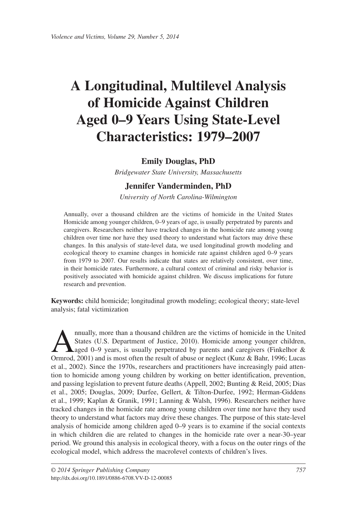# **A Longitudinal, Multilevel Analysis of Homicide Against Children Aged 0–9 Years Using State-Level Characteristics: 1979–2007**

# **Emily Douglas, PhD**

*Bridgewater State University, Massachusetts*

# **Jennifer Vanderminden, PhD**

*University of North Carolina-Wilmington*

Annually, over a thousand children are the victims of homicide in the United States Homicide among younger children, 0–9 years of age, is usually perpetrated by parents and caregivers. Researchers neither have tracked changes in the homicide rate among young children over time nor have they used theory to understand what factors may drive these changes. In this analysis of state-level data, we used longitudinal growth modeling and ecological theory to examine changes in homicide rate against children aged 0–9 years from 1979 to 2007. Our results indicate that states are relatively consistent, over time, in their homicide rates. Furthermore, a cultural context of criminal and risky behavior is positively associated with homicide against children. We discuss implications for future research and prevention.

**Keywords:** child homicide; longitudinal growth modeling; ecological theory; state-level analysis; fatal victimization

mually, more than a thousand children are the victims of homicide in the United States (U.S. Department of Justice, 2010). Homicide among younger children, aged 0–9 years, is usually perpetrated by parents and caregivers States (U.S. Department of Justice, 2010). Homicide among younger children, Ormrod, 2001) and is most often the result of abuse or neglect (Kunz & Bahr, 1996; Lucas et al., 2002). Since the 1970s, researchers and practitioners have increasingly paid attention to homicide among young children by working on better identification, prevention, and passing legislation to prevent future deaths (Appell, 2002; Bunting & Reid, 2005; Dias et al., 2005; Douglas, 2009; Durfee, Gellert, & Tilton-Durfee, 1992; Herman-Giddens et al., 1999; Kaplan & Granik, 1991; Lanning & Walsh, 1996). Researchers neither have tracked changes in the homicide rate among young children over time nor have they used theory to understand what factors may drive these changes. The purpose of this state-level analysis of homicide among children aged 0–9 years is to examine if the social contexts in which children die are related to changes in the homicide rate over a near-30–year period. We ground this analysis in ecological theory, with a focus on the outer rings of the ecological model, which address the macrolevel contexts of children's lives.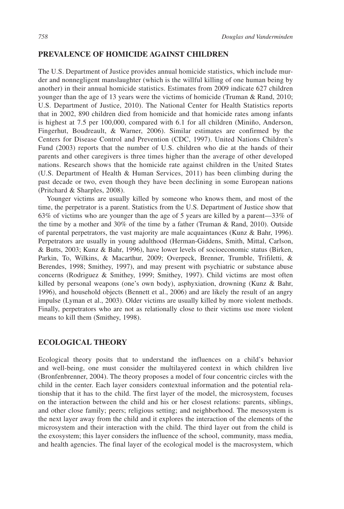# **PREVALENCE OF HOMICIDE AGAINST CHILDREN**

The U.S. Department of Justice provides annual homicide statistics, which include murder and nonnegligent manslaughter (which is the willful killing of one human being by another) in their annual homicide statistics. Estimates from 2009 indicate 627 children younger than the age of 13 years were the victims of homicide (Truman & Rand, 2010; U.S. Department of Justice, 2010). The National Center for Health Statistics reports that in 2002, 890 children died from homicide and that homicide rates among infants is highest at 7.5 per 100,000, compared with 6.1 for all children (Miniño, Anderson, Fingerhut, Boudreault, & Warner, 2006). Similar estimates are confirmed by the Centers for Disease Control and Prevention (CDC, 1997). United Nations Children's Fund (2003) reports that the number of U.S. children who die at the hands of their parents and other caregivers is three times higher than the average of other developed nations. Research shows that the homicide rate against children in the United States (U.S. Department of Health & Human Services, 2011) has been climbing during the past decade or two, even though they have been declining in some European nations (Pritchard & Sharples, 2008).

Younger victims are usually killed by someone who knows them, and most of the time, the perpetrator is a parent. Statistics from the U.S. Department of Justice show that 63% of victims who are younger than the age of 5 years are killed by a parent—33% of the time by a mother and 30% of the time by a father (Truman & Rand, 2010). Outside of parental perpetrators, the vast majority are male acquaintances (Kunz & Bahr, 1996). Perpetrators are usually in young adulthood (Herman-Giddens, Smith, Mittal, Carlson, & Butts, 2003; Kunz & Bahr, 1996), have lower levels of socioeconomic status (Birken, Parkin, To, Wilkins, & Macarthur, 2009; Overpeck, Brenner, Trumble, Trifiletti, & Berendes, 1998; Smithey, 1997), and may present with psychiatric or substance abuse concerns (Rodriguez & Smithey, 1999; Smithey, 1997). Child victims are most often killed by personal weapons (one's own body), asphyxiation, drowning (Kunz & Bahr, 1996), and household objects (Bennett et al., 2006) and are likely the result of an angry impulse (Lyman et al., 2003). Older victims are usually killed by more violent methods. Finally, perpetrators who are not as relationally close to their victims use more violent means to kill them (Smithey, 1998).

# **ECOLOGICAL THEORY**

Ecological theory posits that to understand the influences on a child's behavior and well-being, one must consider the multilayered context in which children live (Bronfenbrenner, 2004). The theory proposes a model of four concentric circles with the child in the center. Each layer considers contextual information and the potential relationship that it has to the child. The first layer of the model, the microsystem, focuses on the interaction between the child and his or her closest relations: parents, siblings, and other close family; peers; religious setting; and neighborhood. The mesosystem is the next layer away from the child and it explores the interaction of the elements of the microsystem and their interaction with the child. The third layer out from the child is the exosystem; this layer considers the influence of the school, community, mass media, and health agencies. The final layer of the ecological model is the macrosystem, which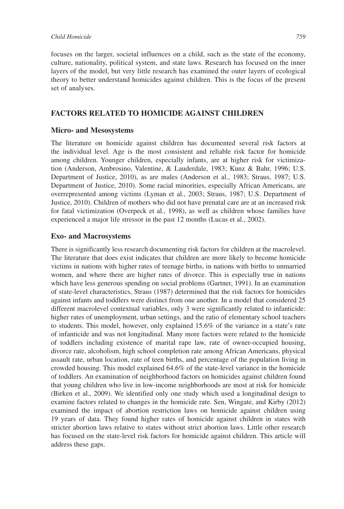focuses on the larger, societal influences on a child, such as the state of the economy, culture, nationality, political system, and state laws. Research has focused on the inner layers of the model, but very little research has examined the outer layers of ecological theory to better understand homicides against children. This is the focus of the present set of analyses.

# **FACTORS RELATED TO HOMICIDE AGAINST CHILDREN**

# **Micro- and Mesosystems**

The literature on homicide against children has documented several risk factors at the individual level. Age is the most consistent and reliable risk factor for homicide among children. Younger children, especially infants, are at higher risk for victimization (Anderson, Ambrosino, Valentine, & Lauderdale, 1983; Kunz & Bahr, 1996; U.S. Department of Justice, 2010), as are males (Anderson et al., 1983; Straus, 1987; U.S. Department of Justice, 2010). Some racial minorities, especially African Americans, are overrepresented among victims (Lyman et al., 2003; Straus, 1987; U.S. Department of Justice, 2010). Children of mothers who did not have prenatal care are at an increased risk for fatal victimization (Overpeck et al., 1998), as well as children whose families have experienced a major life stressor in the past 12 months (Lucas et al., 2002).

# **Exo- and Macrosystems**

There is significantly less research documenting risk factors for children at the macrolevel. The literature that does exist indicates that children are more likely to become homicide victims in nations with higher rates of teenage births, in nations with births to unmarried women, and where there are higher rates of divorce. This is especially true in nations which have less generous spending on social problems (Gartner, 1991). In an examination of state-level characteristics, Straus (1987) determined that the risk factors for homicides against infants and toddlers were distinct from one another. In a model that considered 25 different macrolevel contextual variables, only 3 were significantly related to infanticide: higher rates of unemployment, urban settings, and the ratio of elementary school teachers to students. This model, however, only explained 15.6% of the variance in a state's rate of infanticide and was not longitudinal. Many more factors were related to the homicide of toddlers including existence of marital rape law, rate of owner-occupied housing, divorce rate, alcoholism, high school completion rate among African Americans, physical assault rate, urban location, rate of teen births, and percentage of the population living in crowded housing. This model explained 64.6% of the state-level variance in the homicide of toddlers. An examination of neighborhood factors on homicides against children found that young children who live in low-income neighborhoods are most at risk for homicide (Birken et al., 2009). We identified only one study which used a longitudinal design to examine factors related to changes in the homicide rate. Sen, Wingate, and Kirby (2012) examined the impact of abortion restriction laws on homicide against children using 19 years of data. They found higher rates of homicide against children in states with stricter abortion laws relative to states without strict abortion laws. Little other research has focused on the state-level risk factors for homicide against children. This article will address these gaps.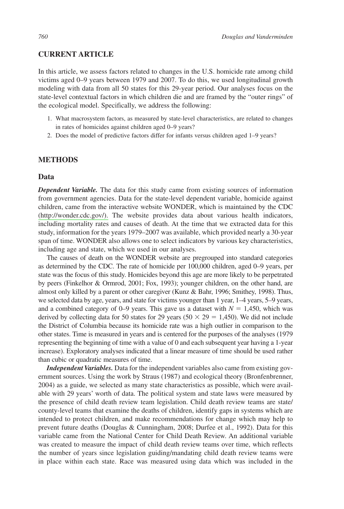## **CURRENT ARTICLE**

In this article, we assess factors related to changes in the U.S. homicide rate among child victims aged 0–9 years between 1979 and 2007. To do this, we used longitudinal growth modeling with data from all 50 states for this 29-year period. Our analyses focus on the state-level contextual factors in which children die and are framed by the "outer rings" of the ecological model. Specifically, we address the following:

- 1. What macrosystem factors, as measured by state-level characteristics, are related to changes in rates of homicides against children aged 0–9 years?
- 2. Does the model of predictive factors differ for infants versus children aged 1–9 years?

## **METHODS**

#### **Data**

*Dependent Variable.* The data for this study came from existing sources of information from government agencies. Data for the state-level dependent variable, homicide against children, came from the interactive website WONDER, which is maintained by the CDC [\(http://wonder.cdc.gov/\).](http://wonder.cdc.gov/) The website provides data about various health indicators, including mortality rates and causes of death. At the time that we extracted data for this study, information for the years 1979–2007 was available, which provided nearly a 30-year span of time. WONDER also allows one to select indicators by various key characteristics, including age and state, which we used in our analyses.

The causes of death on the WONDER website are pregrouped into standard categories as determined by the CDC. The rate of homicide per 100,000 children, aged 0–9 years, per state was the focus of this study. Homicides beyond this age are more likely to be perpetrated by peers (Finkelhor & Ormrod, 2001; Fox, 1993); younger children, on the other hand, are almost only killed by a parent or other caregiver (Kunz & Bahr, 1996; Smithey, 1998). Thus, we selected data by age, years, and state for victims younger than 1 year, 1–4 years, 5–9 years, and a combined category of 0–9 years. This gave us a dataset with  $N = 1,450$ , which was derived by collecting data for 50 states for 29 years (50  $\times$  29 = 1,450). We did not include the District of Columbia because its homicide rate was a high outlier in comparison to the other states. Time is measured in years and is centered for the purposes of the analyses (1979 representing the beginning of time with a value of 0 and each subsequent year having a 1-year increase). Exploratory analyses indicated that a linear measure of time should be used rather than cubic or quadratic measures of time.

*Independent Variables.* Data for the independent variables also came from existing government sources. Using the work by Straus (1987) and ecological theory (Bronfenbrenner, 2004) as a guide, we selected as many state characteristics as possible, which were available with 29 years' worth of data. The political system and state laws were measured by the presence of child death review team legislation. Child death review teams are state/ county-level teams that examine the deaths of children, identify gaps in systems which are intended to protect children, and make recommendations for change which may help to prevent future deaths (Douglas & Cunningham, 2008; Durfee et al., 1992). Data for this variable came from the National Center for Child Death Review. An additional variable was created to measure the impact of child death review teams over time, which reflects the number of years since legislation guiding/mandating child death review teams were in place within each state. Race was measured using data which was included in the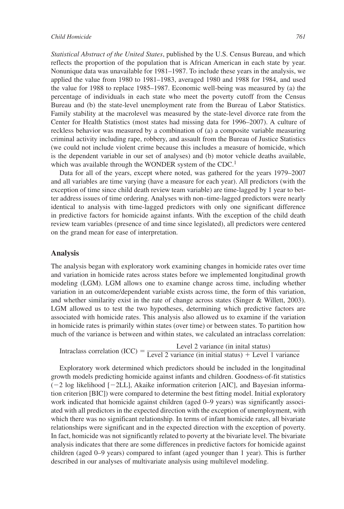*Statistical Abstract of the United States*, published by the U.S. Census Bureau, and which reflects the proportion of the population that is African American in each state by year. Nonunique data was unavailable for 1981–1987. To include these years in the analysis, we applied the value from 1980 to 1981–1983, averaged 1980 and 1988 for 1984, and used the value for 1988 to replace 1985–1987. Economic well-being was measured by (a) the percentage of individuals in each state who meet the poverty cutoff from the Census Bureau and (b) the state-level unemployment rate from the Bureau of Labor Statistics. Family stability at the macrolevel was measured by the state-level divorce rate from the Center for Health Statistics (most states had missing data for 1996–2007). A culture of reckless behavior was measured by a combination of (a) a composite variable measuring criminal activity including rape, robbery, and assault from the Bureau of Justice Statistics (we could not include violent crime because this includes a measure of homicide, which is the dependent variable in our set of analyses) and (b) motor vehicle deaths available, which was available through the WONDER system of the CDC.<sup>1</sup>

Data for all of the years, except where noted, was gathered for the years 1979–2007 and all variables are time varying (have a measure for each year). All predictors (with the exception of time since child death review team variable) are time-lagged by 1 year to better address issues of time ordering. Analyses with non–time-lagged predictors were nearly identical to analysis with time-lagged predictors with only one significant difference in predictive factors for homicide against infants. With the exception of the child death review team variables (presence of and time since legislated), all predictors were centered on the grand mean for ease of interpretation.

#### **Analysis**

The analysis began with exploratory work examining changes in homicide rates over time and variation in homicide rates across states before we implemented longitudinal growth modeling (LGM). LGM allows one to examine change across time, including whether variation in an outcome/dependent variable exists across time, the form of this variation, and whether similarity exist in the rate of change across states (Singer & Willett, 2003). LGM allowed us to test the two hypotheses, determining which predictive factors are associated with homicide rates. This analysis also allowed us to examine if the variation in homicide rates is primarily within states (over time) or between states. To partition how much of the variance is between and within states, we calculated an intraclass correlation:

Intraclass correlation (ICC) = 
$$
\frac{\text{Level 2 variance (in initial status)}}{\text{Level 2 variance (in initial status)} + \text{Level 1 variance}}
$$

Exploratory work determined which predictors should be included in the longitudinal growth models predicting homicide against infants and children. Goodness-of-fit statistics  $(-2 \log$  likelihood  $[-2LL]$ , Akaike information criterion [AIC], and Bayesian information criterion [BIC]) were compared to determine the best fitting model. Initial exploratory work indicated that homicide against children (aged 0–9 years) was significantly associated with all predictors in the expected direction with the exception of unemployment, with which there was no significant relationship. In terms of infant homicide rates, all bivariate relationships were significant and in the expected direction with the exception of poverty. In fact, homicide was not significantly related to poverty at the bivariate level. The bivariate analysis indicates that there are some differences in predictive factors for homicide against children (aged 0–9 years) compared to infant (aged younger than 1 year). This is further described in our analyses of multivariate analysis using multilevel modeling.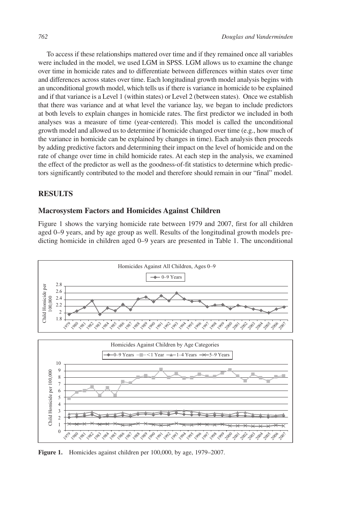To access if these relationships mattered over time and if they remained once all variables were included in the model, we used LGM in SPSS. LGM allows us to examine the change over time in homicide rates and to differentiate between differences within states over time and differences across states over time. Each longitudinal growth model analysis begins with an unconditional growth model, which tells us if there is variance in homicide to be explained and if that variance is a Level 1 (within states) or Level 2 (between states). Once we establish that there was variance and at what level the variance lay, we began to include predictors at both levels to explain changes in homicide rates. The first predictor we included in both analyses was a measure of time (year-centered). This model is called the unconditional growth model and allowed us to determine if homicide changed over time (e.g., how much of the variance in homicide can be explained by changes in time). Each analysis then proceeds by adding predictive factors and determining their impact on the level of homicide and on the rate of change over time in child homicide rates. At each step in the analysis, we examined the effect of the predictor as well as the goodness-of-fit statistics to determine which predictors significantly contributed to the model and therefore should remain in our "final" model.

#### **RESULTS**

# **Macrosystem Factors and Homicides Against Children**

Figure 1 shows the varying homicide rate between 1979 and 2007, first for all children aged 0–9 years, and by age group as well. Results of the longitudinal growth models predicting homicide in children aged 0–9 years are presented in Table 1. The unconditional



**Figure 1.** Homicides against children per 100,000, by age, 1979–2007.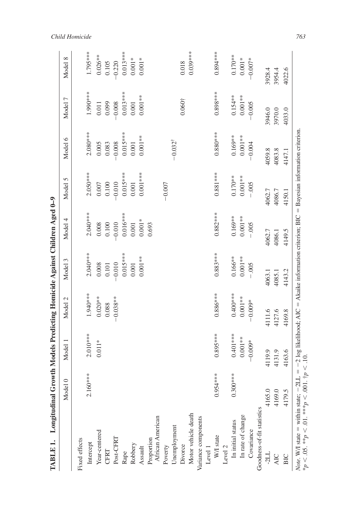| <b>TABLE 1.</b> Longitudinal Growth                                                                 |            |            |                                                                                                 |            | Models Predicting Homicide Against Children Aged 0-9 |            |                    |                 |            |
|-----------------------------------------------------------------------------------------------------|------------|------------|-------------------------------------------------------------------------------------------------|------------|------------------------------------------------------|------------|--------------------|-----------------|------------|
|                                                                                                     | Model 0    | Model 1    | Model 2                                                                                         | Model 3    | Model 4                                              | Model 5    | Model 6            | Model 7         | Model 8    |
| Fixed effects                                                                                       |            |            |                                                                                                 |            |                                                      |            |                    |                 |            |
| Intercept                                                                                           | 2.160***   | $2.010***$ | 1.940****                                                                                       | $2.040***$ | $2.040***$                                           | $2.050***$ | $2.080***$         | $1.900$ ***     | 1.795****  |
| Year-centered                                                                                       |            | $0.011*$   | $0.020**$                                                                                       | 0.008      | $0.008\,$                                            | $0.007\,$  | 0.005              | 0.011           | $0.026**$  |
| CFRT                                                                                                |            |            | 0.088                                                                                           | $0.101\,$  | 0.100                                                | 0.100      | 0.083              | 0.099           | 0.105      |
| Post-CFRT                                                                                           |            |            | $-0.038**$                                                                                      | $-0.010$   | $-0.010$                                             | $-0.010$   | $-0.008$           | $-0.008$        | $-0.220$   |
| Rape                                                                                                |            |            |                                                                                                 | $0.015***$ | $0.016***$                                           | $0.015***$ | $0.015***$         | $0.013***$      | $0.013***$ |
| Robbery                                                                                             |            |            |                                                                                                 | $0.001\,$  | $0.001\,$                                            | $0.001\,$  | $0.001\,$          | $0.001\,$       | $0.001*$   |
| Assault                                                                                             |            |            |                                                                                                 | $0.001**$  | $0.001*$                                             | $0.001***$ | $0.001**$          | $0.001**$       | $0.001*$   |
| Proportion                                                                                          |            |            |                                                                                                 |            | 0.693                                                |            |                    |                 |            |
| African American                                                                                    |            |            |                                                                                                 |            |                                                      |            |                    |                 |            |
| Poverty                                                                                             |            |            |                                                                                                 |            |                                                      | $-0.007$   |                    |                 |            |
| Unemployment                                                                                        |            |            |                                                                                                 |            |                                                      |            | $-0.032^{\dagger}$ |                 |            |
| Divorce                                                                                             |            |            |                                                                                                 |            |                                                      |            |                    | $0.060 \dagger$ | 0.018      |
| Motor vehicle death                                                                                 |            |            |                                                                                                 |            |                                                      |            |                    |                 | $0.039***$ |
| Variance components                                                                                 |            |            |                                                                                                 |            |                                                      |            |                    |                 |            |
| Level 1                                                                                             |            |            |                                                                                                 |            |                                                      |            |                    |                 |            |
| W/I state                                                                                           | $0.954***$ | $0.895***$ | $0.886***$                                                                                      | $0.883***$ | $0.882***$                                           | $0.881***$ | $0.880***$         | $0.898***$      | $0.894***$ |
| Level 2                                                                                             |            |            |                                                                                                 |            |                                                      |            |                    |                 |            |
| In initial status                                                                                   | $0.300***$ | $0.401***$ | $0.400**$                                                                                       | $0.166***$ | $0.169**$                                            | $0.170**$  | $0.169**$          | $0.154**$       | $0.170**$  |
| In rate of change                                                                                   |            | $0.001**$  | $0.001**$                                                                                       | $0.001**$  | $0.001**$                                            | $0.001**$  | $0.001**$          | $0.001**$       | $0.001*$   |
| Covariance                                                                                          |            | $-0.009*$  | $-0.009*$                                                                                       | $-.005$    | $-.005$                                              | $-0.005$   | $-0.004$           | $-0.005$        | $-0.007*$  |
| Goodness-of-fit statistics                                                                          |            |            |                                                                                                 |            |                                                      |            |                    |                 |            |
| $-2LL$                                                                                              | 4165.0     | 4119.9     | 4111.6                                                                                          | 4063.1     | 4062.7                                               | 4062.7     | 4059.8             | 3946.0          | 3928.4     |
| <b>AIC</b>                                                                                          | 4169.0     | 4131.9     | 4127.6                                                                                          | 4085.1     | 4086.1                                               | 4086.7     | 4083.8             | 3970.0          | 3954.4     |
| BIC                                                                                                 | 4179.5     | 4163.6     | 4169.8                                                                                          | 4143.2     | 4149.5                                               | 4150.1     | 4147.1             | 4033.0          | 4022.6     |
| <i>Note.</i> W/I state = within state; $-2LL = -216$<br>*p < .05. **p < .01. ***p < .001. †p < .10. |            |            | $-2 \log$ likelihood; AIC = Akaike information criterion; BIC = Bayesian information criterion. |            |                                                      |            |                    |                 |            |

*Child Homicide 763*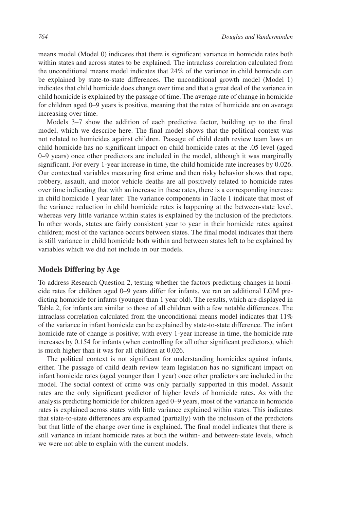means model (Model 0) indicates that there is significant variance in homicide rates both within states and across states to be explained. The intraclass correlation calculated from the unconditional means model indicates that 24% of the variance in child homicide can be explained by state-to-state differences. The unconditional growth model (Model 1) indicates that child homicide does change over time and that a great deal of the variance in child homicide is explained by the passage of time. The average rate of change in homicide for children aged 0–9 years is positive, meaning that the rates of homicide are on average increasing over time.

Models 3–7 show the addition of each predictive factor, building up to the final model, which we describe here. The final model shows that the political context was not related to homicides against children. Passage of child death review team laws on child homicide has no significant impact on child homicide rates at the .05 level (aged 0–9 years) once other predictors are included in the model, although it was marginally significant. For every 1-year increase in time, the child homicide rate increases by 0.026. Our contextual variables measuring first crime and then risky behavior shows that rape, robbery, assault, and motor vehicle deaths are all positively related to homicide rates over time indicating that with an increase in these rates, there is a corresponding increase in child homicide 1 year later. The variance components in Table 1 indicate that most of the variance reduction in child homicide rates is happening at the between-state level, whereas very little variance within states is explained by the inclusion of the predictors. In other words, states are fairly consistent year to year in their homicide rates against children; most of the variance occurs between states. The final model indicates that there is still variance in child homicide both within and between states left to be explained by variables which we did not include in our models.

## **Models Differing by Age**

To address Research Question 2, testing whether the factors predicting changes in homicide rates for children aged 0–9 years differ for infants, we ran an additional LGM predicting homicide for infants (younger than 1 year old). The results, which are displayed in Table 2, for infants are similar to those of all children with a few notable differences. The intraclass correlation calculated from the unconditional means model indicates that 11% of the variance in infant homicide can be explained by state-to-state difference. The infant homicide rate of change is positive; with every 1-year increase in time, the homicide rate increases by 0.154 for infants (when controlling for all other significant predictors), which is much higher than it was for all children at 0.026.

The political context is not significant for understanding homicides against infants, either. The passage of child death review team legislation has no significant impact on infant homicide rates (aged younger than 1 year) once other predictors are included in the model. The social context of crime was only partially supported in this model. Assault rates are the only significant predictor of higher levels of homicide rates. As with the analysis predicting homicide for children aged 0–9 years, most of the variance in homicide rates is explained across states with little variance explained within states. This indicates that state-to-state differences are explained (partially) with the inclusion of the predictors but that little of the change over time is explained. The final model indicates that there is still variance in infant homicide rates at both the within- and between-state levels, which we were not able to explain with the current models.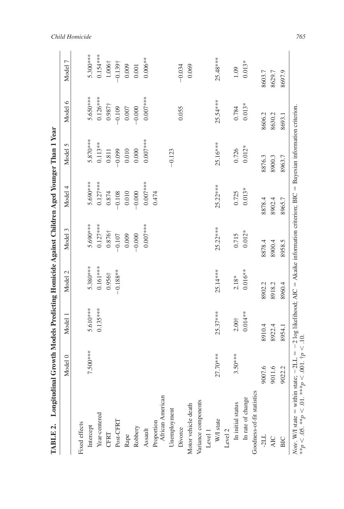| TABLE 2. Longitudinal Growth Models Predicting Homicide Against Children Aged Younger Than 1 Year                                                                                             |            |                |                |                |            |            |                |                    |
|-----------------------------------------------------------------------------------------------------------------------------------------------------------------------------------------------|------------|----------------|----------------|----------------|------------|------------|----------------|--------------------|
|                                                                                                                                                                                               | Model 0    | Model 1        | Model 2        | Model 3        | Model 4    | Model 5    | Model 6        | Model 7            |
| Fixed effects                                                                                                                                                                                 |            |                |                |                |            |            |                |                    |
| Intercept                                                                                                                                                                                     | 7.500***   | 5.610***       | 5.380***       | 5.690***       | 5.690***   | $5.870***$ | 5.650***       | $5.300***$         |
| Year-centered                                                                                                                                                                                 |            | $0.135***$     | $0.161***$     | $0.127***$     | $0.127***$ | $0.113**$  | $0.126***$     | $0.154***$         |
| CFRT                                                                                                                                                                                          |            |                | $0.956\dagger$ | $0.876\dagger$ | 0.874      | 0.811      | $0.987\dagger$ | 1.006 <sup>†</sup> |
| Post-CFRT                                                                                                                                                                                     |            |                | $-0.188**$     | $-0.107$       | $-0.108$   | $-0.099$   | $-0.109$       | $-0.139\dagger$    |
| Rape                                                                                                                                                                                          |            |                |                | 0.009          | 0.010      | 0.010      | 0.007          | 0.009              |
| Robbery                                                                                                                                                                                       |            |                |                | $-0.000$       | $-0.000$   | 0.000      | $-0.000$       | 0.001              |
| Assault                                                                                                                                                                                       |            |                |                | $0.007***$     | $0.007***$ | $0.007***$ | $0.007***$     | $0.006**$          |
| African American<br>Proportion                                                                                                                                                                |            |                |                |                | 0.474      |            |                |                    |
| Unemployment                                                                                                                                                                                  |            |                |                |                |            | $-0.123$   |                |                    |
| Divorce                                                                                                                                                                                       |            |                |                |                |            |            | 0.055          | $-0.034$           |
| Motor vehicle death                                                                                                                                                                           |            |                |                |                |            |            |                | 0.069              |
| Variance components                                                                                                                                                                           |            |                |                |                |            |            |                |                    |
| Level 1                                                                                                                                                                                       |            |                |                |                |            |            |                |                    |
| W/I state                                                                                                                                                                                     | $27.70***$ | $25.37***$     | 25.14***       | $25.22***$     | $25.22***$ | 25.16***   | $25.54***$     | $25.48***$         |
| Level 2                                                                                                                                                                                       |            |                |                |                |            |            |                |                    |
| In initial status                                                                                                                                                                             | $3.50***$  | $2.00^{+}_{-}$ | $2.18*$        | 0.715          | 0.725      | 0.726      | 0.784          | 1.09               |
| In rate of change                                                                                                                                                                             |            | $0.014**$      | $0.016**$      | $0.012*$       | $0.013*$   | $0.012*$   | $0.013*$       | $0.013*$           |
| Goodness-of-fit statistics                                                                                                                                                                    |            |                |                |                |            |            |                |                    |
| $-211$                                                                                                                                                                                        | 9007.6     | 8910.4         | 8902.2         | 8878.4         | 8878.4     | 8876.3     | 8606.2         | 8603.7             |
| <b>AIC</b>                                                                                                                                                                                    | 9011.6     | 8922.4         | 8918.2         | 8900.4         | 8902.4     | 8900.3     | 8630.2         | 8629.7             |
| BIC                                                                                                                                                                                           | 9022.2     | 8954.1         | 8960.4         | 8958.5         | 8965.7     | 8963.7     | 8693.1         | 8697.9             |
| <i>Note.</i> W/I state = within state; $-2LL = -2 \log$ likelihood; AIC = Akaike information criterion; BIC = Bayesian information criterion.<br>**p < .05. **p < .01. ***p < .001. †p < .10. |            |                |                |                |            |            |                |                    |

*Child Homicide 765*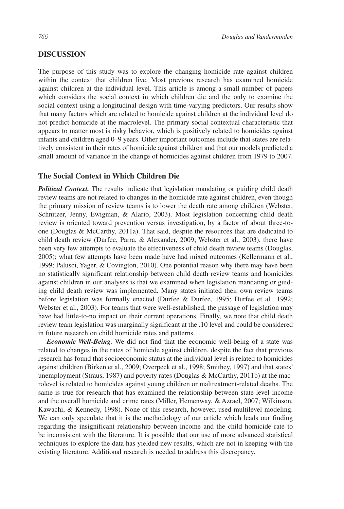# **DISCUSSION**

The purpose of this study was to explore the changing homicide rate against children within the context that children live. Most previous research has examined homicide against children at the individual level. This article is among a small number of papers which considers the social context in which children die and the only to examine the social context using a longitudinal design with time-varying predictors. Our results show that many factors which are related to homicide against children at the individual level do not predict homicide at the macrolevel. The primary social contextual characteristic that appears to matter most is risky behavior, which is positively related to homicides against infants and children aged 0–9 years. Other important outcomes include that states are relatively consistent in their rates of homicide against children and that our models predicted a small amount of variance in the change of homicides against children from 1979 to 2007.

# **The Social Context in Which Children Die**

*Political Context.* The results indicate that legislation mandating or guiding child death review teams are not related to changes in the homicide rate against children, even though the primary mission of review teams is to lower the death rate among children (Webster, Schnitzer, Jenny, Ewigman, & Alario, 2003). Most legislation concerning child death review is oriented toward prevention versus investigation, by a factor of about three-toone (Douglas & McCarthy, 2011a). That said, despite the resources that are dedicated to child death review (Durfee, Parra, & Alexander, 2009; Webster et al., 2003), there have been very few attempts to evaluate the effectiveness of child death review teams (Douglas, 2005); what few attempts have been made have had mixed outcomes (Kellermann et al., 1999; Palusci, Yager, & Covington, 2010). One potential reason why there may have been no statistically significant relationship between child death review teams and homicides against children in our analyses is that we examined when legislation mandating or guiding child death review was implemented. Many states initiated their own review teams before legislation was formally enacted (Durfee & Durfee, 1995; Durfee et al., 1992; Webster et al., 2003). For teams that were well-established, the passage of legislation may have had little-to-no impact on their current operations. Finally, we note that child death review team legislation was marginally significant at the .10 level and could be considered in future research on child homicide rates and patterns.

*Economic Well-Being.* We did not find that the economic well-being of a state was related to changes in the rates of homicide against children, despite the fact that previous research has found that socioeconomic status at the individual level is related to homicides against children (Birken et al., 2009; Overpeck et al., 1998; Smithey, 1997) and that states' unemployment (Straus, 1987) and poverty rates (Douglas & McCarthy, 2011b) at the macrolevel is related to homicides against young children or maltreatment-related deaths. The same is true for research that has examined the relationship between state-level income and the overall homicide and crime rates (Miller, Hemenway, & Azrael, 2007; Wilkinson, Kawachi, & Kennedy, 1998). None of this research, however, used multilevel modeling. We can only speculate that it is the methodology of our article which leads our finding regarding the insignificant relationship between income and the child homicide rate to be inconsistent with the literature. It is possible that our use of more advanced statistical techniques to explore the data has yielded new results, which are not in keeping with the existing literature. Additional research is needed to address this discrepancy.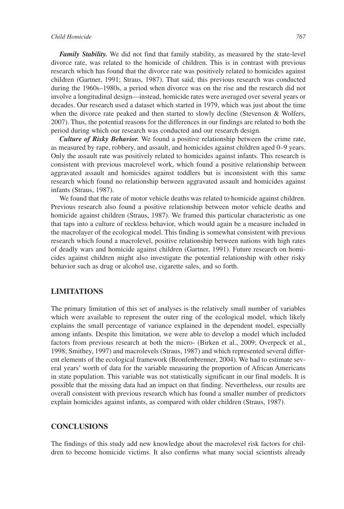*Family Stability.* We did not find that family stability, as measured by the state-level divorce rate, was related to the homicide of children. This is in contrast with previous research which has found that the divorce rate was positively related to homicides against children (Gartner, 1991; Straus, 1987). That said, this previous research was conducted during the 1960s–1980s, a period when divorce was on the rise and the research did not involve a longitudinal design—instead, homicide rates were averaged over several years or decades. Our research used a dataset which started in 1979, which was just about the time when the divorce rate peaked and then started to slowly decline (Stevenson & Wolfers, 2007). Thus, the potential reasons for the differences in our findings are related to both the period during which our research was conducted and our research design.

*Culture of Risky Behavior.* We found a positive relationship between the crime rate, as measured by rape, robbery, and assault, and homicides against children aged 0–9 years. Only the assault rate was positively related to homicides against infants. This research is consistent with previous macrolevel work, which found a positive relationship between aggravated assault and homicides against toddlers but is inconsistent with this same research which found no relationship between aggravated assault and homicides against infants (Straus, 1987).

We found that the rate of motor vehicle deaths was related to homicide against children. Previous research also found a positive relationship between motor vehicle deaths and homicide against children (Straus, 1987). We framed this particular characteristic as one that taps into a culture of reckless behavior, which would again be a measure included in the macrolayer of the ecological model. This finding is somewhat consistent with previous research which found a macrolevel, positive relationship between nations with high rates of deadly wars and homicide against children (Gartner, 1991). Future research on homicides against children might also investigate the potential relationship with other risky behavior such as drug or alcohol use, cigarette sales, and so forth.

# **LIMITATIONS**

The primary limitation of this set of analyses is the relatively small number of variables which were available to represent the outer ring of the ecological model, which likely explains the small percentage of variance explained in the dependent model, especially among infants. Despite this limitation, we were able to develop a model which included factors from previous research at both the micro- (Birken et al., 2009; Overpeck et al., 1998; Smithey, 1997) and macrolevels (Straus, 1987) and which represented several different elements of the ecological framework (Bronfenbrenner, 2004). We had to estimate several years' worth of data for the variable measuring the proportion of African Americans in state population. This variable was not statistically significant in our final models. It is possible that the missing data had an impact on that finding. Nevertheless, our results are overall consistent with previous research which has found a smaller number of predictors explain homicides against infants, as compared with older children (Straus, 1987).

# **CONCLUSIONS**

The findings of this study add new knowledge about the macrolevel risk factors for children to become homicide victims. It also confirms what many social scientists already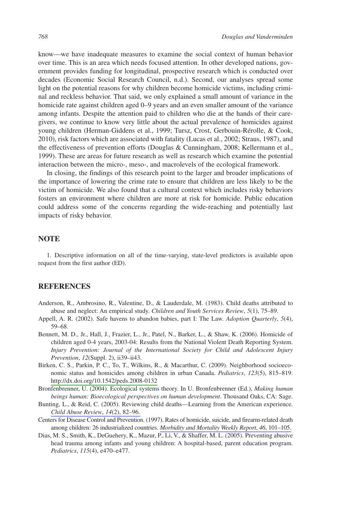know—we have inadequate measures to examine the social context of human behavior over time. This is an area which needs focused attention. In other developed nations, government provides funding for longitudinal, prospective research which is conducted over decades (Economic Social Research Council, n.d.). Second, our analyses spread some light on the potential reasons for why children become homicide victims, including criminal and reckless behavior. That said, we only explained a small amount of variance in the homicide rate against children aged 0–9 years and an even smaller amount of the variance among infants. Despite the attention paid to children who die at the hands of their caregivers, we continue to know very little about the actual prevalence of homicides against young children (Herman-Giddens et al., 1999; Tursz, Crost, Gerbouin-Rérolle, & Cook, 2010), risk factors which are associated with fatality (Lucas et al., 2002; Straus, 1987), and the effectiveness of prevention efforts (Douglas & Cunningham, 2008; Kellermann et al., 1999). These are areas for future research as well as research which examine the potential interaction between the micro-, meso-, and macrolevels of the ecological framework.

In closing, the findings of this research point to the larger and broader implications of the importance of lowering the crime rate to ensure that children are less likely to be the victim of homicide. We also found that a cultural context which includes risky behaviors fosters an environment where children are more at risk for homicide. Public education could address some of the concerns regarding the wide-reaching and potentially last impacts of risky behavior.

# **NOTE**

1. Descriptive information on all of the time-varying, state-level predictors is available upon request from the first author (ED).

#### **REFERENCES**

- Anderson, R., Ambrosino, R., Valentine, D., & Lauderdale, M. (1983). Child deaths attributed to abuse and neglect: An empirical study. *Children and Youth Services Review*, *5*(1), 75–89.
- Appell, A. R. (2002). Safe havens to abandon babies, part I: The Law. *Adoption Quarterly*, *5*(4), 59–68.
- Bennett, M. D., Jr., Hall, J., Frazier, L., Jr., Patel, N., Barker, L., & Shaw, K. (2006). Homicide of children aged 0-4 years, 2003-04: Results from the National Violent Death Reporting System. *Injury Prevention: Journal of the International Society for Child and Adolescent Injury Prevention*, *12*(Suppl. 2), ii39–ii43.
- Birken, C. S., Parkin, P. C., To, T., Wilkins, R., & Macarthur, C. (2009). Neighborhood socioeconomic status and homicides among children in urban Canada. *Pediatrics*, *123*(5), 815–819. <http://dx.doi.org/10.1542/peds.2008-0132>
- Bronfenbrenner, U. (2004). Ecological systems theory. In U. Bronfenbrenner (Ed.), *Making human beings human: Bioecological perspectives on human development*. Thousand Oaks, CA: Sage.
- Bunting, L., & Reid, C. (2005). Reviewing child deaths—Learning from the American experience. *[Child Abuse Review](http://www.ingentaconnect.com/content/external-references?article=0952-9136()14:2L.82[aid=10412353])*, *14*(2), 82–96.
- Centers for Disease Control and Prevention. (1997). Rates of homicide, suicide, and firearm-related death among children: 26 industrialized countries. *[Morbidity and Mortality Weekly Report](http://www.ingentaconnect.com/content/external-references?article=0091-0031()46L.101[aid=8801190])*, *46*, 101–105.
- Dias, M. S., Smith, K., DeGuehery, K., Mazur, P., Li, V., & Shaffer, M. L. (2005). Preventing abusive head trauma among infants and young children: A hospital-based, parent education program. *Pediatrics*, *115*(4), e470–e477.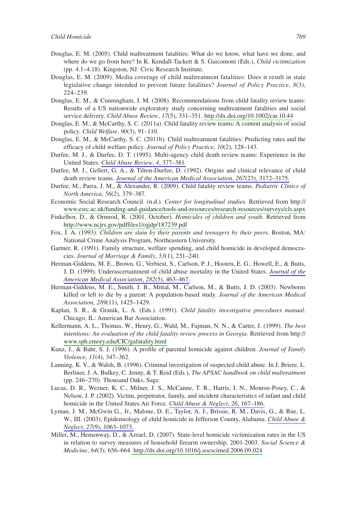- Douglas, E. M. (2005). Child maltreatment fatalities: What do we know, what have we done, and where do we go from here? In K. Kendall-Tackett & S. Gaicomoni (Eds.), *Child victimization* (pp. 4.1–4.18). Kingston, NJ: Civic Research Institute.
- Douglas, E. M. (2009). Media coverage of child maltreatment fatalities: Does it result in state legislative change intended to prevent future fatalities? *Journal of Policy Practice*, *8*(3), 224–239.
- Douglas, E. M., & Cunningham, J. M. (2008). Recommendations from child fatality review teams: Results of a US nationwide exploratory study concerning maltreatment fatalities and social service delivery. *Child Abuse Review*, *17*(5), 331–351[. http://dx.doi.org/10.1002/car.10.44](http://dx.doi.org/10.1002/car.10.44)
- Douglas, E. M., & McCarthy, S. C. (2011a). Child fatality review teams: A content analysis of social policy. *Child Welfare*, *90*(3), 91–110.
- Douglas, E. M., & McCarthy, S. C. (2011b). Child maltreatment fatalities: Predicting rates and the efficacy of child welfare policy. *Journal of Policy Practice*, *10*(2), 128–143.
- Durfee, M. J., & Durfee, D. T. (1995). Multi-agency child death review teams: Experience in the United States. *[Child Abuse Review](http://www.ingentaconnect.com/content/external-references?article=0952-9136()4L.377[aid=10412369])*, *4*, 377–381.
- Durfee, M. J., Gellert, G. A., & Tilton-Durfee, D. (1992). Origins and clinical relevance of child death review teams. *[Journal of the American Medical Association](http://www.ingentaconnect.com/content/external-references?article=0098-7484()267:23L.3172[aid=10412364])*, *267*(23), 3172–3175.
- Durfee, M., Parra, J. M., & Alexander, R. (2009). Child fatality review teams. *Pediatric Clinics of North America*, *56*(2), 379–387.
- Economic Social Research Council. (n.d.). *Center for longitudinal studies*. Retrieved from http:// [www.esrc.ac.uk/funding-and-guidance/tools-and-resources/research-resources/surveys/cls.aspx](http://www.esrc.ac.uk/funding-and-guidance/tools-and-resources/research-resources/surveys/cls.aspx)
- Finkelhor, D., & Ormrod, R. (2001, October). *Homicides of children and youth*. Retrieved from <http://www.ncjrs.gov/pdffiles1/ojjdp/187239.pdf>
- Fox, J. A. (1993). *Children are slain by their parents and teenagers by their peers*. Boston, MA: National Crime Analysis Program, Northeastern University.
- Gartner, R. (1991). Family structure, welfare spending, and child homicide in developed democracies. *Journal of Marriage & Family*, *53*(1), 231–240.
- Herman-Giddens, M. E., Brown, G., Verbiest, S., Carlson, P. J., Hooten, E. G., Howell, E., & Butts, J. D. (1999). Underascertainment of child abuse mortality in the United States. *[Journal of the](http://www.ingentaconnect.com/content/external-references?article=0098-7484()282:5L.463[aid=10412361])  [American Medical Association](http://www.ingentaconnect.com/content/external-references?article=0098-7484()282:5L.463[aid=10412361])*, *282*(5), 463–467.
- Herman-Giddens, M. E., Smith, J. B., Mittal, M., Carlson, M., & Butts, J. D. (2003). Newborns killed or left to die by a parent: A population-based study. *Journal of the American Medical Association*, *289*(11), 1425–1429.
- Kaplan, S. R., & Granik, L. A. (Eds.). (1991). *Child fatality investigative procedures manual*. Chicago, IL: American Bar Association.
- Kellermann, A. L., Thomas, W., Henry, G., Wald, M., Fajman, N. N., & Carter, J. (1999). *The best intentions: An evaluation of the child fatality review process in Georgia*. Retrieved from http:// [www.sph.emory.edu/CIC/gafatality.html](http://www.sph.emory.edu/CIC/gafatality.html)
- Kunz, J., & Bahr, S. J. (1996). A profile of parental homicide against children. *Journal of Family Violence*, *11*(4), 347–362.
- Lanning, K. V., & Walsh, B. (1996). Criminal investigation of suspected child abuse. In J. Briere, L. Berliner, J. A. Bulkey, C. Jenny, & T. Reid (Eds.), *The APSAC handbook on child maltreatment* (pp. 246–270). Thousand Oaks, Sage.
- Lucas, D. R., Wezner, K. C., Milner, J. S., McCanne, T. R., Harris, I. N., Monroe-Posey, C., & Nelson, J. P. (2002). Victim, perpetrator, family, and incident characteristics of infant and child homicide in the United States Air Force. *[Child Abuse & Neglect](http://www.ingentaconnect.com/content/external-references?article=0145-2134()26L.167[aid=10412368])*, *26*, 167–186.
- Lyman, J. M., McGwin G., Jr., Malone, D. E., Taylor, A. J., Brissie, R. M., Davis, G., & Rue, L. W., III. (2003). Epidemiology of child homicide in Jefferson County, Alabama. *[Child Abuse &](http://www.ingentaconnect.com/content/external-references?article=0145-2134()27:9L.1063[aid=10412358])  Neglect*, *27*[\(9\), 1063–1073.](http://www.ingentaconnect.com/content/external-references?article=0145-2134()27:9L.1063[aid=10412358])
- Miller, M., Hemenway, D., & Azrael, D. (2007). State-level homicide victimization rates in the US in relation to survey measures of household firearm ownership, 2001-2003. *Social Science & Medicine*, *64*(3), 656–664[. http://dx.doi.org/10.1016/j.socscimed.2006.09.024](http://dx.doi.org/10.1016/j.socscimed.2006.09.024)